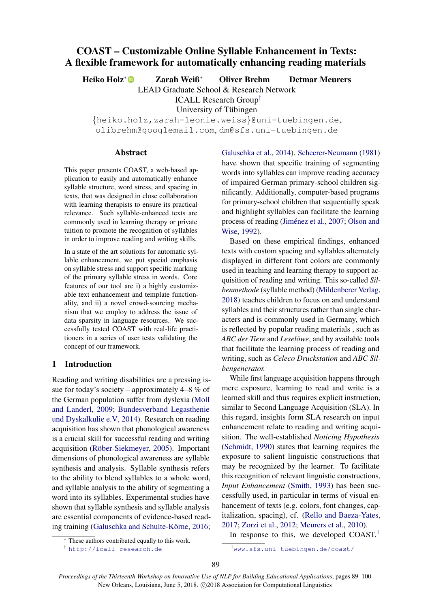# COAST – Customizable Online Syllable Enhancement in Texts: A flexible framework for automatically enhancing reading materials

Heiko Holz<sup>∗</sup> Zarah Weiß<sup>∗</sup> Oliver Brehm Detmar Meurers

LEAD Graduate School & Research Network

ICALL Research Group†

University of Tübingen

{heiko.holz,zarah-leonie.weiss}@uni-tuebingen.de,

olibrehm@googlemail.com, dm@sfs.uni-tuebingen.de

#### Abstract

This paper presents COAST, a web-based application to easily and automatically enhance syllable structure, word stress, and spacing in texts, that was designed in close collaboration with learning therapists to ensure its practical relevance. Such syllable-enhanced texts are commonly used in learning therapy or private tuition to promote the recognition of syllables in order to improve reading and writing skills.

In a state of the art solutions for automatic syllable enhancement, we put special emphasis on syllable stress and support specific marking of the primary syllable stress in words. Core features of our tool are i) a highly customizable text enhancement and template functionality, and ii) a novel crowd-sourcing mechanism that we employ to address the issue of data sparsity in language resources. We successfully tested COAST with real-life practitioners in a series of user tests validating the concept of our framework.

## 1 Introduction

Reading and writing disabilities are a pressing issue for today's society – approximately  $4-8\%$  of the German population suffer from dyslexia (Moll and Landerl, 2009; Bundesverband Legasthenie und Dyskalkulie e.V, 2014). Research on reading acquisition has shown that phonological awareness is a crucial skill for successful reading and writing acquisition (Röber-Siekmeyer, 2005). Important dimensions of phonological awareness are syllable synthesis and analysis. Syllable synthesis refers to the ability to blend syllables to a whole word, and syllable analysis to the ability of segmenting a word into its syllables. Experimental studies have shown that syllable synthesis and syllable analysis are essential components of evidence-based reading training (Galuschka and Schulte-Körne, 2016;

Galuschka et al., 2014). Scheerer-Neumann (1981) have shown that specific training of segmenting words into syllables can improve reading accuracy of impaired German primary-school children significantly. Additionally, computer-based programs for primary-school children that sequentially speak and highlight syllables can facilitate the learning process of reading (Jiménez et al., 2007; Olson and Wise, 1992).

Based on these empirical findings, enhanced texts with custom spacing and syllables alternately displayed in different font colors are commonly used in teaching and learning therapy to support acquisition of reading and writing. This so-called *Silbenmethode* (syllable method) (Mildenberer Verlag, 2018) teaches children to focus on and understand syllables and their structures rather than single characters and is commonly used in Germany, which is reflected by popular reading materials , such as *ABC der Tiere* and *Leselöwe*, and by available tools that facilitate the learning process of reading and writing, such as *Celeco Druckstation* and *ABC Silbengenerator.*

While first language acquisition happens through mere exposure, learning to read and write is a learned skill and thus requires explicit instruction, similar to Second Language Acquisition (SLA). In this regard, insights form SLA research on input enhancement relate to reading and writing acquisition. The well-established *Noticing Hypothesis* (Schmidt, 1990) states that learning requires the exposure to salient linguistic constructions that may be recognized by the learner. To facilitate this recognition of relevant linguistic constructions, *Input Enhancement* (Smith, 1993) has been successfully used, in particular in terms of visual enhancement of texts (e.g. colors, font changes, capitalization, spacing), cf. (Rello and Baeza-Yates, 2017; Zorzi et al., 2012; Meurers et al., 2010).

<sup>1</sup>www.sfs.uni-tuebingen.de/coast/

In response to this, we developed  $COAST.^1$ 

These authors contributed equally to this work.

<sup>†</sup> http://icall-research.de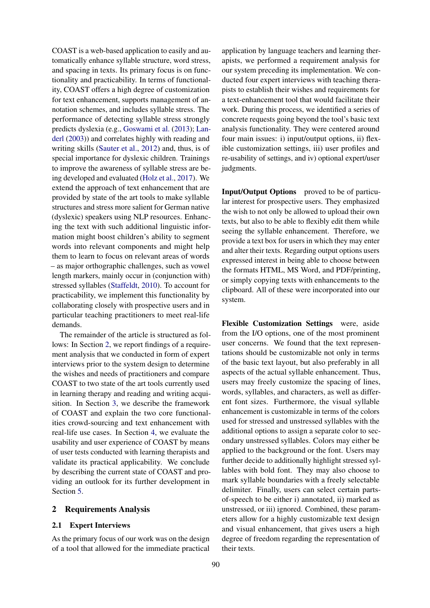COAST is a web-based application to easily and automatically enhance syllable structure, word stress, and spacing in texts. Its primary focus is on functionality and practicability. In terms of functionality, COAST offers a high degree of customization for text enhancement, supports management of annotation schemes, and includes syllable stress. The performance of detecting syllable stress strongly predicts dyslexia (e.g., Goswami et al. (2013); Landerl (2003)) and correlates highly with reading and writing skills (Sauter et al., 2012) and, thus, is of special importance for dyslexic children. Trainings to improve the awareness of syllable stress are being developed and evaluated (Holz et al., 2017). We extend the approach of text enhancement that are provided by state of the art tools to make syllable structures and stress more salient for German native (dyslexic) speakers using NLP resources. Enhancing the text with such additional linguistic information might boost children's ability to segment words into relevant components and might help them to learn to focus on relevant areas of words – as major orthographic challenges, such as vowel length markers, mainly occur in (conjunction with) stressed syllables (Staffeldt, 2010). To account for practicability, we implement this functionality by collaborating closely with prospective users and in particular teaching practitioners to meet real-life demands.

The remainder of the article is structured as follows: In Section 2, we report findings of a requirement analysis that we conducted in form of expert interviews prior to the system design to determine the wishes and needs of practitioners and compare COAST to two state of the art tools currently used in learning therapy and reading and writing acquisition. In Section 3, we describe the framework of COAST and explain the two core functionalities crowd-sourcing and text enhancement with real-life use cases. In Section 4, we evaluate the usability and user experience of COAST by means of user tests conducted with learning therapists and validate its practical applicability. We conclude by describing the current state of COAST and providing an outlook for its further development in Section 5.

### 2 Requirements Analysis

#### 2.1 Expert Interviews

As the primary focus of our work was on the design of a tool that allowed for the immediate practical

application by language teachers and learning therapists, we performed a requirement analysis for our system preceding its implementation. We conducted four expert interviews with teaching therapists to establish their wishes and requirements for a text-enhancement tool that would facilitate their work. During this process, we identified a series of concrete requests going beyond the tool's basic text analysis functionality. They were centered around four main issues: i) input/output options, ii) flexible customization settings, iii) user profiles and re-usability of settings, and iv) optional expert/user judgments.

Input/Output Options proved to be of particular interest for prospective users. They emphasized the wish to not only be allowed to upload their own texts, but also to be able to flexibly edit them while seeing the syllable enhancement. Therefore, we provide a text box for users in which they may enter and alter their texts. Regarding output options users expressed interest in being able to choose between the formats HTML, MS Word, and PDF/printing, or simply copying texts with enhancements to the clipboard. All of these were incorporated into our system.

Flexible Customization Settings were, aside from the I/O options, one of the most prominent user concerns. We found that the text representations should be customizable not only in terms of the basic text layout, but also preferably in all aspects of the actual syllable enhancement. Thus, users may freely customize the spacing of lines, words, syllables, and characters, as well as different font sizes. Furthermore, the visual syllable enhancement is customizable in terms of the colors used for stressed and unstressed syllables with the additional options to assign a separate color to secondary unstressed syllables. Colors may either be applied to the background or the font. Users may further decide to additionally highlight stressed syllables with bold font. They may also choose to mark syllable boundaries with a freely selectable delimiter. Finally, users can select certain partsof-speech to be either i) annotated, ii) marked as unstressed, or iii) ignored. Combined, these parameters allow for a highly customizable text design and visual enhancement, that gives users a high degree of freedom regarding the representation of their texts.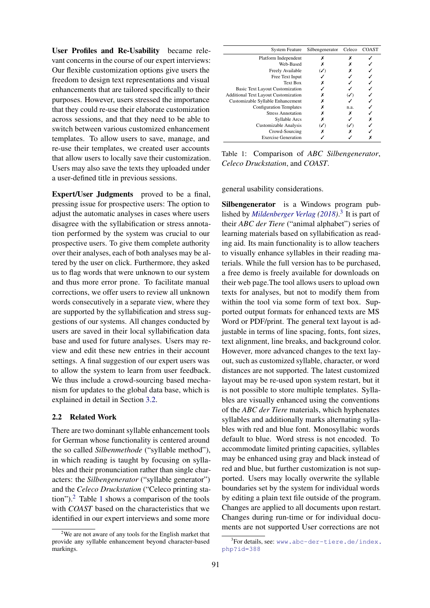User Profiles and Re-Usability became relevant concerns in the course of our expert interviews: Our flexible customization options give users the freedom to design text representations and visual enhancements that are tailored specifically to their purposes. However, users stressed the importance that they could re-use their elaborate customization across sessions, and that they need to be able to switch between various customized enhancement templates. To allow users to save, manage, and re-use their templates, we created user accounts that allow users to locally save their customization. Users may also save the texts they uploaded under a user-defined title in previous sessions.

Expert/User Judgments proved to be a final, pressing issue for prospective users: The option to adjust the automatic analyses in cases where users disagree with the syllabification or stress annotation performed by the system was crucial to our prospective users. To give them complete authority over their analyses, each of both analyses may be altered by the user on click. Furthermore, they asked us to flag words that were unknown to our system and thus more error prone. To facilitate manual corrections, we offer users to review all unknown words consecutively in a separate view, where they are supported by the syllabification and stress suggestions of our systems. All changes conducted by users are saved in their local syllabification data base and used for future analyses. Users may review and edit these new entries in their account settings. A final suggestion of our expert users was to allow the system to learn from user feedback. We thus include a crowd-sourcing based mechanism for updates to the global data base, which is explained in detail in Section 3.2.

#### 2.2 Related Work

There are two dominant syllable enhancement tools for German whose functionality is centered around the so called *Silbenmethode* ("syllable method"), in which reading is taught by focusing on syllables and their pronunciation rather than single characters: the *Silbengenerator* ("syllable generator") and the *Celeco Druckstation* ("Celeco printing station").<sup>2</sup> Table 1 shows a comparison of the tools with *COAST* based on the characteristics that we identified in our expert interviews and some more

| <b>System Feature</b>                       | Silbengenerator | Celeco | <b>COAST</b> |
|---------------------------------------------|-----------------|--------|--------------|
| Platform Independent                        | х               |        |              |
| Web-Based                                   |                 |        |              |
| Freely Available                            | $(\checkmark)$  |        |              |
| Free Text Input                             |                 |        |              |
| <b>Text Box</b>                             | х               |        |              |
| <b>Basic Text Layout Customization</b>      |                 |        |              |
| <b>Additional Text Layout Customization</b> |                 |        |              |
| Customizable Syllable Enhancement           |                 |        |              |
| <b>Configuration Templates</b>              |                 | n.a.   |              |
| <b>Stress Annotation</b>                    |                 | х      |              |
| Syllable Arcs                               |                 |        |              |
| Customizable Analysis                       |                 |        |              |
| Crowd-Sourcing                              |                 |        |              |
| <b>Exercise Generation</b>                  |                 |        |              |

Table 1: Comparison of *ABC Silbengenerator*, *Celeco Druckstation*, and *COAST*.

general usability considerations.

Silbengenerator is a Windows program published by *Mildenberger Verlag (2018)*. 3 It is part of their *ABC der Tiere* ("animal alphabet") series of learning materials based on syllabification as reading aid. Its main functionality is to allow teachers to visually enhance syllables in their reading materials. While the full version has to be purchased, a free demo is freely available for downloads on their web page.The tool allows users to upload own texts for analyses, but not to modify them from within the tool via some form of text box. Supported output formats for enhanced texts are MS Word or PDF/print. The general text layout is adjustable in terms of line spacing, fonts, font sizes, text alignment, line breaks, and background color. However, more advanced changes to the text layout, such as customized syllable, character, or word distances are not supported. The latest customized layout may be re-used upon system restart, but it is not possible to store multiple templates. Syllables are visually enhanced using the conventions of the *ABC der Tiere* materials, which hyphenates syllables and additionally marks alternating syllables with red and blue font. Monosyllabic words default to blue. Word stress is not encoded. To accommodate limited printing capacities, syllables may be enhanced using gray and black instead of red and blue, but further customization is not supported. Users may locally overwrite the syllable boundaries set by the system for individual words by editing a plain text file outside of the program. Changes are applied to all documents upon restart. Changes during run-time or for individual documents are not supported User corrections are not

 $2$ We are not aware of any tools for the English market that provide any syllable enhancement beyond character-based markings.

<sup>&</sup>lt;sup>3</sup>For details, see: www.abc-der-tiere.de/index. php?id=388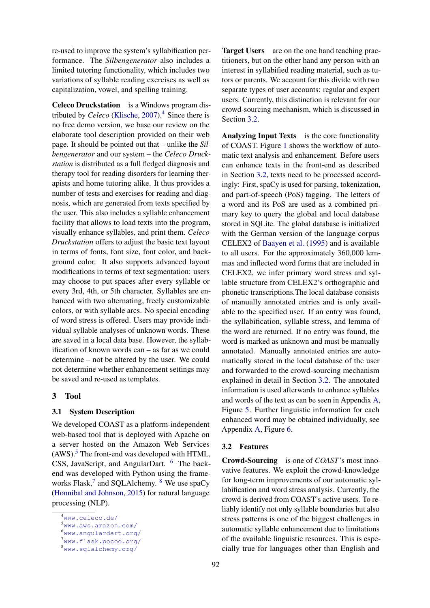re-used to improve the system's syllabification performance. The *Silbengenerator* also includes a limited tutoring functionality, which includes two variations of syllable reading exercises as well as capitalization, vowel, and spelling training.

Celeco Druckstation is a Windows program distributed by *Celeco* (Klische, 2007).<sup>4</sup> Since there is no free demo version, we base our review on the elaborate tool description provided on their web page. It should be pointed out that – unlike the *Silbengenerator* and our system – the *Celeco Druckstation* is distributed as a full fledged diagnosis and therapy tool for reading disorders for learning therapists and home tutoring alike. It thus provides a number of tests and exercises for reading and diagnosis, which are generated from texts specified by the user. This also includes a syllable enhancement facility that allows to load texts into the program, visually enhance syllables, and print them. *Celeco Druckstation* offers to adjust the basic text layout in terms of fonts, font size, font color, and background color. It also supports advanced layout modifications in terms of text segmentation: users may choose to put spaces after every syllable or every 3rd, 4th, or 5th character. Syllables are enhanced with two alternating, freely customizable colors, or with syllable arcs. No special encoding of word stress is offered. Users may provide individual syllable analyses of unknown words. These are saved in a local data base. However, the syllabification of known words can – as far as we could determine – not be altered by the user. We could not determine whether enhancement settings may be saved and re-used as templates.

#### 3 Tool

#### 3.1 System Description

We developed COAST as a platform-independent web-based tool that is deployed with Apache on a server hosted on the Amazon Web Services  $(AWS)$ .<sup>5</sup> The front-end was developed with HTML, CSS, JavaScript, and AngularDart. <sup>6</sup> The backend was developed with Python using the frameworks  $Flask$ , and SQLAlchemy. <sup>8</sup> We use spaCy (Honnibal and Johnson, 2015) for natural language processing (NLP).

Target Users are on the one hand teaching practitioners, but on the other hand any person with an interest in syllabified reading material, such as tutors or parents. We account for this divide with two separate types of user accounts: regular and expert users. Currently, this distinction is relevant for our crowd-sourcing mechanism, which is discussed in Section 3.2.

Analyzing Input Texts is the core functionality of COAST. Figure 1 shows the workflow of automatic text analysis and enhancement. Before users can enhance texts in the front-end as described in Section 3.2, texts need to be processed accordingly: First, spaCy is used for parsing, tokenization, and part-of-speech (PoS) tagging. The letters of a word and its PoS are used as a combined primary key to query the global and local database stored in SQLite. The global database is initialized with the German version of the language corpus CELEX2 of Baayen et al. (1995) and is available to all users. For the approximately 360,000 lemmas and inflected word forms that are included in CELEX2, we infer primary word stress and syllable structure from CELEX2's orthographic and phonetic transcriptions.The local database consists of manually annotated entries and is only available to the specified user. If an entry was found, the syllabification, syllable stress, and lemma of the word are returned. If no entry was found, the word is marked as unknown and must be manually annotated. Manually annotated entries are automatically stored in the local database of the user and forwarded to the crowd-sourcing mechanism explained in detail in Section 3.2. The annotated information is used afterwards to enhance syllables and words of the text as can be seen in Appendix A, Figure 5. Further linguistic information for each enhanced word may be obtained individually, see Appendix A, Figure 6.

#### 3.2 Features

Crowd-Sourcing is one of *COAST*'s most innovative features. We exploit the crowd-knowledge for long-term improvements of our automatic syllabification and word stress analysis. Currently, the crowd is derived from COAST's active users. To reliably identify not only syllable boundaries but also stress patterns is one of the biggest challenges in automatic syllable enhancement due to limitations of the available linguistic resources. This is especially true for languages other than English and

<sup>4</sup>www.celeco.de/

<sup>5</sup>www.aws.amazon.com/

<sup>6</sup>www.angulardart.org/ <sup>7</sup>www.flask.pocoo.org/

<sup>8</sup>www.sqlalchemy.org/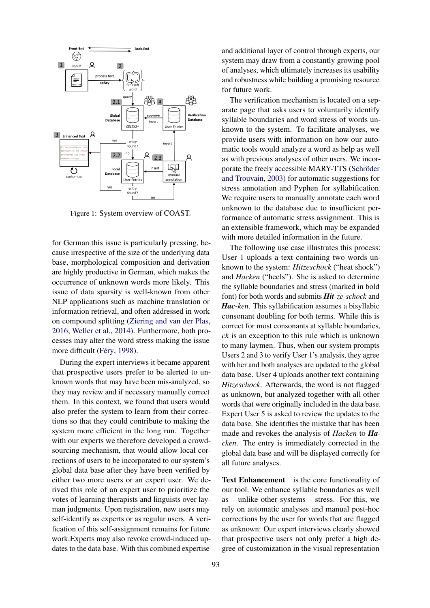

Figure 1: System overview of COAST.

for German this issue is particularly pressing, because irrespective of the size of the underlying data base, morphological composition and derivation are highly productive in German, which makes the occurrence of unknown words more likely. This issue of data sparsity is well-known from other NLP applications such as machine translation or information retrieval, and often addressed in work on compound splitting (Ziering and van der Plas, 2016; Weller et al., 2014). Furthermore, both processes may alter the word stress making the issue more difficult (Féry, 1998).

During the expert interviews it became apparent that prospective users prefer to be alerted to unknown words that may have been mis-analyzed, so they may review and if necessary manually correct them. In this context, we found that users would also prefer the system to learn from their corrections so that they could contribute to making the system more efficient in the long run. Together with our experts we therefore developed a crowdsourcing mechanism, that would allow local corrections of users to be incorporated to our system's global data base after they have been verified by either two more users or an expert user. We derived this role of an expert user to prioritize the votes of learning therapists and linguists over layman judgments. Upon registration, new users may self-identify as experts or as regular users. A verification of this self-assignment remains for future work.Experts may also revoke crowd-induced updates to the data base. With this combined expertise

and additional layer of control through experts, our system may draw from a constantly growing pool of analyses, which ultimately increases its usability and robustness while building a promising resource for future work.

The verification mechanism is located on a separate page that asks users to voluntarily identify syllable boundaries and word stress of words unknown to the system. To facilitate analyses, we provide users with information on how our automatic tools would analyze a word as help as well as with previous analyses of other users. We incorporate the freely accessible MARY-TTS (Schröder and Trouvain, 2003) for automatic suggestions for stress annotation and Pyphen for syllabification. We require users to manually annotate each word unknown to the database due to insufficient performance of automatic stress assignment. This is an extensible framework, which may be expanded with more detailed information in the future.

The following use case illustrates this process: User 1 uploads a text containing two words unknown to the system: *Hitzeschock* ("heat shock") and *Hacken* ("heels"). She is asked to determine the syllable boundaries and stress (marked in bold font) for both words and submits *Hit-ze-schock* and *Hac-ken*. This syllabification assumes a bisyllabic consonant doubling for both terms. While this is correct for most consonants at syllable boundaries, *ck* is an exception to this rule which is unknown to many laymen. Thus, when our system prompts Users 2 and 3 to verify User 1's analysis, they agree with her and both analyses are updated to the global data base. User 4 uploads another text containing *Hitzeschock*. Afterwards, the word is not flagged as unknown, but analyzed together with all other words that were originally included in the data base. Expert User 5 is asked to review the updates to the data base. She identifies the mistake that has been made and revokes the analysis of *Hacken* to *Hacken*. The entry is immediately corrected in the global data base and will be displayed correctly for all future analyses.

Text Enhancement is the core functionality of our tool. We enhance syllable boundaries as well as – unlike other systems – stress. For this, we rely on automatic analyses and manual post-hoc corrections by the user for words that are flagged as unknown: Our expert interviews clearly showed that prospective users not only prefer a high degree of customization in the visual representation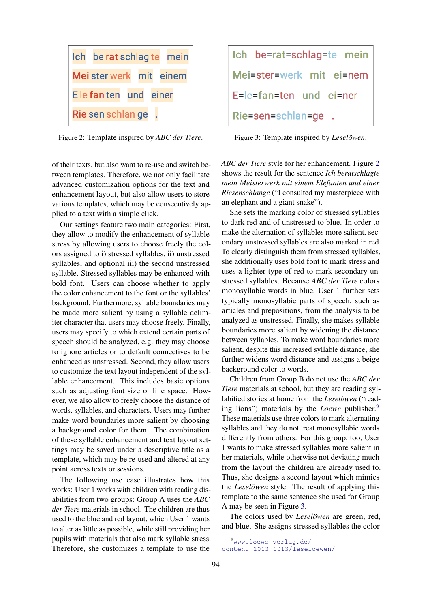

Figure 2: Template inspired by *ABC der Tiere*.

of their texts, but also want to re-use and switch between templates. Therefore, we not only facilitate advanced customization options for the text and enhancement layout, but also allow users to store various templates, which may be consecutively applied to a text with a simple click.

Our settings feature two main categories: First, they allow to modify the enhancement of syllable stress by allowing users to choose freely the colors assigned to i) stressed syllables, ii) unstressed syllables, and optional iii) the second unstressed syllable. Stressed syllables may be enhanced with bold font. Users can choose whether to apply the color enhancement to the font or the syllables' background. Furthermore, syllable boundaries may be made more salient by using a syllable delimiter character that users may choose freely. Finally, users may specify to which extend certain parts of speech should be analyzed, e.g. they may choose to ignore articles or to default connectives to be enhanced as unstressed. Second, they allow users to customize the text layout independent of the syllable enhancement. This includes basic options such as adjusting font size or line space. However, we also allow to freely choose the distance of words, syllables, and characters. Users may further make word boundaries more salient by choosing a background color for them. The combination of these syllable enhancement and text layout settings may be saved under a descriptive title as a template, which may be re-used and altered at any point across texts or sessions.

The following use case illustrates how this works: User 1 works with children with reading disabilities from two groups: Group A uses the *ABC der Tiere* materials in school. The children are thus used to the blue and red layout, which User 1 wants to alter as little as possible, while still providing her pupils with materials that also mark syllable stress. Therefore, she customizes a template to use the

| Ich be=rat=schlag=te mein |
|---------------------------|
| Mei=ster=werk mit ei=nem  |
| E=le=fan=ten und ei=ner   |
| Rie=sen=schlan=ge.        |

Figure 3: Template inspired by *Leselöwen*.

*ABC der Tiere* style for her enhancement. Figure 2 shows the result for the sentence *Ich beratschlagte mein Meisterwerk mit einem Elefanten und einer Riesenschlange* ("I consulted my masterpiece with an elephant and a giant snake").

She sets the marking color of stressed syllables to dark red and of unstressed to blue. In order to make the alternation of syllables more salient, secondary unstressed syllables are also marked in red. To clearly distinguish them from stressed syllables, she additionally uses bold font to mark stress and uses a lighter type of red to mark secondary unstressed syllables. Because *ABC der Tiere* colors monosyllabic words in blue, User 1 further sets typically monosyllabic parts of speech, such as articles and prepositions, from the analysis to be analyzed as unstressed. Finally, she makes syllable boundaries more salient by widening the distance between syllables. To make word boundaries more salient, despite this increased syllable distance, she further widens word distance and assigns a beige background color to words.

Children from Group B do not use the *ABC der Tiere* materials at school, but they are reading syllabified stories at home from the *Leselöwen* ("reading lions") materials by the *Loewe* publisher.<sup>9</sup> These materials use three colors to mark alternating syllables and they do not treat monosyllabic words differently from others. For this group, too, User 1 wants to make stressed syllables more salient in her materials, while otherwise not deviating much from the layout the children are already used to. Thus, she designs a second layout which mimics the *Leselöwen* style. The result of applying this template to the same sentence she used for Group A may be seen in Figure 3.

The colors used by *Leselowen* are green, red, and blue. She assigns stressed syllables the color

<sup>9</sup>www.loewe-verlag.de/ content-1013-1013/leseloewen/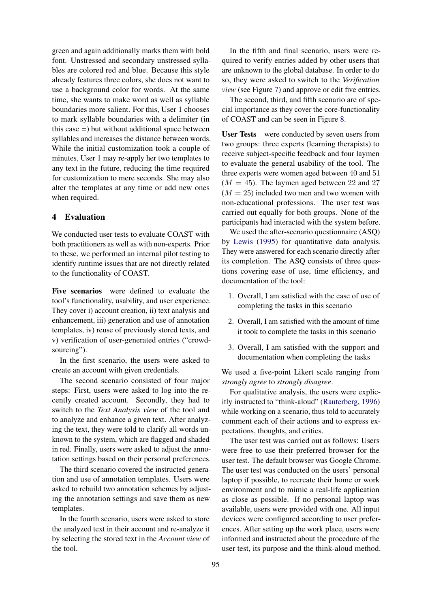green and again additionally marks them with bold font. Unstressed and secondary unstressed syllables are colored red and blue. Because this style already features three colors, she does not want to use a background color for words. At the same time, she wants to make word as well as syllable boundaries more salient. For this, User 1 chooses to mark syllable boundaries with a delimiter (in this case *=*) but without additional space between syllables and increases the distance between words. While the initial customization took a couple of minutes, User 1 may re-apply her two templates to any text in the future, reducing the time required for customization to mere seconds. She may also alter the templates at any time or add new ones when required.

## 4 Evaluation

We conducted user tests to evaluate COAST with both practitioners as well as with non-experts. Prior to these, we performed an internal pilot testing to identify runtime issues that are not directly related to the functionality of COAST.

Five scenarios were defined to evaluate the tool's functionality, usability, and user experience. They cover i) account creation, ii) text analysis and enhancement, iii) generation and use of annotation templates, iv) reuse of previously stored texts, and v) verification of user-generated entries ("crowdsourcing").

In the first scenario, the users were asked to create an account with given credentials.

The second scenario consisted of four major steps: First, users were asked to log into the recently created account. Secondly, they had to switch to the *Text Analysis view* of the tool and to analyze and enhance a given text. After analyzing the text, they were told to clarify all words unknown to the system, which are flagged and shaded in red. Finally, users were asked to adjust the annotation settings based on their personal preferences.

The third scenario covered the instructed generation and use of annotation templates. Users were asked to rebuild two annotation schemes by adjusting the annotation settings and save them as new templates.

In the fourth scenario, users were asked to store the analyzed text in their account and re-analyze it by selecting the stored text in the *Account view* of the tool.

In the fifth and final scenario, users were required to verify entries added by other users that are unknown to the global database. In order to do so, they were asked to switch to the *Verification view* (see Figure 7) and approve or edit five entries.

The second, third, and fifth scenario are of special importance as they cover the core-functionality of COAST and can be seen in Figure 8.

User Tests were conducted by seven users from two groups: three experts (learning therapists) to receive subject-specific feedback and four laymen to evaluate the general usability of the tool. The three experts were women aged between 40 and 51  $(M = 45)$ . The laymen aged between 22 and 27  $(M = 25)$  included two men and two women with non-educational professions. The user test was carried out equally for both groups. None of the participants had interacted with the system before.

We used the after-scenario questionnaire (ASQ) by Lewis (1995) for quantitative data analysis. They were answered for each scenario directly after its completion. The ASQ consists of three questions covering ease of use, time efficiency, and documentation of the tool:

- 1. Overall, I am satisfied with the ease of use of completing the tasks in this scenario
- 2. Overall, I am satisfied with the amount of time it took to complete the tasks in this scenario
- 3. Overall, I am satisfied with the support and documentation when completing the tasks

We used a five-point Likert scale ranging from *strongly agree* to *strongly disagree*.

For qualitative analysis, the users were explicitly instructed to "think-aloud" (Rauterberg, 1996) while working on a scenario, thus told to accurately comment each of their actions and to express expectations, thoughts, and critics.

The user test was carried out as follows: Users were free to use their preferred browser for the user test. The default browser was Google Chrome. The user test was conducted on the users' personal laptop if possible, to recreate their home or work environment and to mimic a real-life application as close as possible. If no personal laptop was available, users were provided with one. All input devices were configured according to user preferences. After setting up the work place, users were informed and instructed about the procedure of the user test, its purpose and the think-aloud method.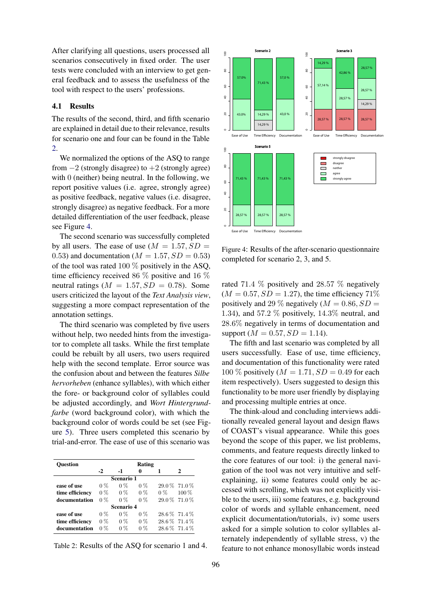After clarifying all questions, users processed all scenarios consecutively in fixed order. The user tests were concluded with an interview to get general feedback and to assess the usefulness of the tool with respect to the users' professions.

## 4.1 Results

The results of the second, third, and fifth scenario are explained in detail due to their relevance, results for scenario one and four can be found in the Table 2.

We normalized the options of the ASQ to range from  $-2$  (strongly disagree) to  $+2$  (strongly agree) with 0 (neither) being neutral. In the following, we report positive values (i.e. agree, strongly agree) as positive feedback, negative values (i.e. disagree, strongly disagree) as negative feedback. For a more detailed differentiation of the user feedback, please see Figure 4.

The second scenario was successfully completed by all users. The ease of use  $(M = 1.57, SD =$ 0.53) and documentation ( $M = 1.57$ ,  $SD = 0.53$ ) of the tool was rated 100  $\%$  positively in the ASQ, time efficiency received 86 % positive and 16 % neutral ratings ( $M = 1.57$ ,  $SD = 0.78$ ). Some users criticized the layout of the *Text Analysis view*, suggesting a more compact representation of the annotation settings.

The third scenario was completed by five users without help, two needed hints from the investigator to complete all tasks. While the first template could be rebuilt by all users, two users required help with the second template. Error source was the confusion about and between the features *Silbe hervorheben* (enhance syllables), with which either the fore- or background color of syllables could be adjusted accordingly, and *Wort Hintergrundfarbe* (word background color), with which the background color of words could be set (see Figure 5). Three users completed this scenario by trial-and-error. The ease of use of this scenario was

| Ouestion        |       |       | Rating |     |                 |  |  |
|-----------------|-------|-------|--------|-----|-----------------|--|--|
|                 | $-2$  | $-1$  |        |     |                 |  |  |
| Scenario 1      |       |       |        |     |                 |  |  |
| ease of use     | $0\%$ | $0\%$ | $0\%$  |     | 29.0 % 71.0 %   |  |  |
| time efficiency | $0\%$ | $0\%$ | $0\%$  | 0 % | $100\%$         |  |  |
| documentation   | $0\%$ | $0\%$ | $0\%$  |     | 29.0 % 71.0 %   |  |  |
| Scenario 4      |       |       |        |     |                 |  |  |
| ease of use     | $0\%$ | $0\%$ | $0\%$  |     | 28.6 \% 71.4 \% |  |  |
| time efficiency | $0\%$ | $0\%$ | $0\%$  |     | 28.6 \% 71.4 \% |  |  |
| documentation   | $0\%$ | $0\%$ | $0\%$  |     | 28.6 \% 71.4 \% |  |  |

Table 2: Results of the ASQ for scenario 1 and 4.



Figure 4: Results of the after-scenario questionnaire completed for scenario 2, 3, and 5.

rated 71.4 % positively and 28.57 % negatively  $(M = 0.57, SD = 1.27)$ , the time efficiency 71% positively and 29 % negatively ( $M = 0.86$ ,  $SD =$ 1.34), and 57.2  $\%$  positively, 14.3 $\%$  neutral, and 28.6% negatively in terms of documentation and support ( $M = 0.57$ ,  $SD = 1.14$ ).

The fifth and last scenario was completed by all users successfully. Ease of use, time efficiency, and documentation of this functionality were rated 100 % positively ( $M = 1.71$ ,  $SD = 0.49$  for each item respectively). Users suggested to design this functionality to be more user friendly by displaying and processing multiple entries at once.

The think-aloud and concluding interviews additionally revealed general layout and design flaws of COAST's visual appearance. While this goes beyond the scope of this paper, we list problems, comments, and feature requests directly linked to the core features of our tool: i) the general navigation of the tool was not very intuitive and selfexplaining, ii) some features could only be accessed with scrolling, which was not explicitly visible to the users, iii) some features, e.g. background color of words and syllable enhancement, need explicit documentation/tutorials, iv) some users asked for a simple solution to color syllables alternately independently of syllable stress, v) the feature to not enhance monosyllabic words instead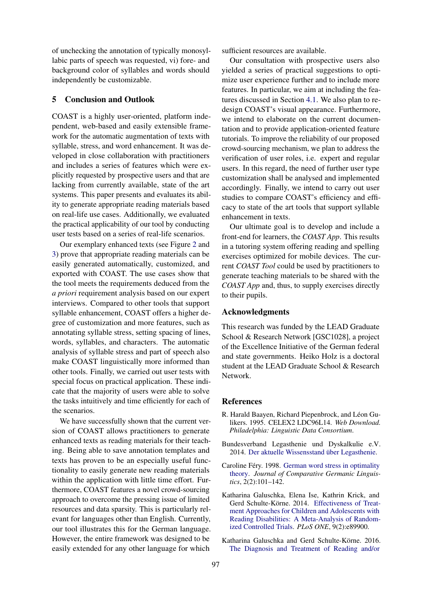of unchecking the annotation of typically monosyllabic parts of speech was requested, vi) fore- and background color of syllables and words should independently be customizable.

#### 5 Conclusion and Outlook

COAST is a highly user-oriented, platform independent, web-based and easily extensible framework for the automatic augmentation of texts with syllable, stress, and word enhancement. It was developed in close collaboration with practitioners and includes a series of features which were explicitly requested by prospective users and that are lacking from currently available, state of the art systems. This paper presents and evaluates its ability to generate appropriate reading materials based on real-life use cases. Additionally, we evaluated the practical applicability of our tool by conducting user tests based on a series of real-life scenarios.

Our exemplary enhanced texts (see Figure 2 and 3) prove that appropriate reading materials can be easily generated automatically, customized, and exported with COAST. The use cases show that the tool meets the requirements deduced from the *a priori* requirement analysis based on our expert interviews. Compared to other tools that support syllable enhancement, COAST offers a higher degree of customization and more features, such as annotating syllable stress, setting spacing of lines, words, syllables, and characters. The automatic analysis of syllable stress and part of speech also make COAST linguistically more informed than other tools. Finally, we carried out user tests with special focus on practical application. These indicate that the majority of users were able to solve the tasks intuitively and time efficiently for each of the scenarios.

We have successfully shown that the current version of COAST allows practitioners to generate enhanced texts as reading materials for their teaching. Being able to save annotation templates and texts has proven to be an especially useful functionality to easily generate new reading materials within the application with little time effort. Furthermore, COAST features a novel crowd-sourcing approach to overcome the pressing issue of limited resources and data sparsity. This is particularly relevant for languages other than English. Currently, our tool illustrates this for the German language. However, the entire framework was designed to be easily extended for any other language for which

sufficient resources are available.

Our consultation with prospective users also yielded a series of practical suggestions to optimize user experience further and to include more features. In particular, we aim at including the features discussed in Section 4.1. We also plan to redesign COAST's visual appearance. Furthermore, we intend to elaborate on the current documentation and to provide application-oriented feature tutorials. To improve the reliability of our proposed crowd-sourcing mechanism, we plan to address the verification of user roles, i.e. expert and regular users. In this regard, the need of further user type customization shall be analysed and implemented accordingly. Finally, we intend to carry out user studies to compare COAST's efficiency and efficacy to state of the art tools that support syllable enhancement in texts.

Our ultimate goal is to develop and include a front-end for learners, the *COAST App*. This results in a tutoring system offering reading and spelling exercises optimized for mobile devices. The current *COAST Tool* could be used by practitioners to generate teaching materials to be shared with the *COAST App* and, thus, to supply exercises directly to their pupils.

#### Acknowledgments

This research was funded by the LEAD Graduate School & Research Network [GSC1028], a project of the Excellence Initiative of the German federal and state governments. Heiko Holz is a doctoral student at the LEAD Graduate School & Research Network.

#### References

- R. Harald Baayen, Richard Piepenbrock, and Léon Gulikers. 1995. CELEX2 LDC96L14. *Web Download. Philadelphia: Linguistic Data Consortium*.
- Bundesverband Legasthenie und Dyskalkulie e.V. 2014. Der aktuelle Wissensstand über Legasthenie.
- Caroline Féry. 1998. German word stress in optimality theory. *Journal of Comparative Germanic Linguistics*, 2(2):101–142.
- Katharina Galuschka, Elena Ise, Kathrin Krick, and Gerd Schulte-Körne. 2014. Effectiveness of Treatment Approaches for Children and Adolescents with Reading Disabilities: A Meta-Analysis of Randomized Controlled Trials. *PLoS ONE*, 9(2):e89900.
- Katharina Galuschka and Gerd Schulte-Körne. 2016. The Diagnosis and Treatment of Reading and/or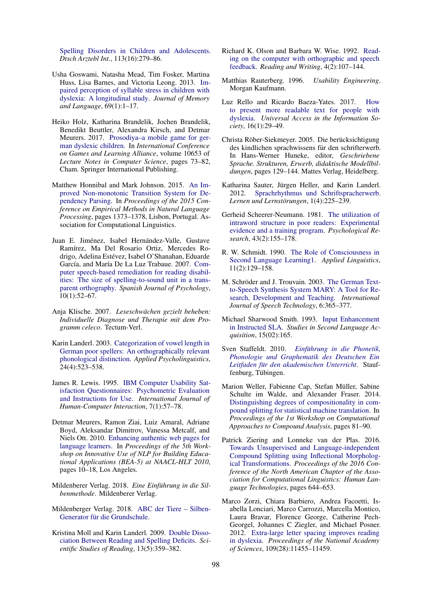Spelling Disorders in Children and Adolescents. *Dtsch Arztebl Int.*, 113(16):279–86.

- Usha Goswami, Natasha Mead, Tim Fosker, Martina Huss, Lisa Barnes, and Victoria Leong. 2013. Impaired perception of syllable stress in children with dyslexia: A longitudinal study. *Journal of Memory and Language*, 69(1):1–17.
- Heiko Holz, Katharina Brandelik, Jochen Brandelik, Benedikt Beuttler, Alexandra Kirsch, and Detmar Meurers. 2017. Prosodiya–a mobile game for german dyslexic children. In *International Conference on Games and Learning Alliance*, volume 10653 of *Lecture Notes in Computer Science*, pages 73–82, Cham. Springer International Publishing.
- Matthew Honnibal and Mark Johnson. 2015. An Improved Non-monotonic Transition System for Dependency Parsing. In *Proceedings of the 2015 Conference on Empirical Methods in Natural Language Processing*, pages 1373–1378, Lisbon, Portugal. Association for Computational Linguistics.
- Juan E. Jiménez, Isabel Hernández-Valle, Gustave Ramírez, Ma Del Rosario Ortiz, Mercedes Rodrigo, Adelina Estévez, Isabel O'Shanahan, Eduarde García, and María De La Luz Trabaue. 2007. Computer speech-based remediation for reading disabilities: The size of spelling-to-sound unit in a transparent orthography. *Spanish Journal of Psychology*, 10(1):52–67.
- Anja Klische. 2007. *Leseschwachen gezielt beheben: ¨ Individuelle Diagnose und Therapie mit dem Programm celeco*. Tectum-Verl.
- Karin Landerl. 2003. Categorization of vowel length in German poor spellers: An orthographically relevant phonological distinction. *Applied Psycholinguistics*, 24(4):523–538.
- James R. Lewis. 1995. IBM Computer Usability Satisfaction Questionnaires: Psychometric Evaluation and Instructions for Use. *International Journal of Human-Computer Interaction*, 7(1):57–78.
- Detmar Meurers, Ramon Ziai, Luiz Amaral, Adriane Boyd, Aleksandar Dimitrov, Vanessa Metcalf, and Niels Ott. 2010. Enhancing authentic web pages for language learners. In *Proceedings of the 5th Workshop on Innovative Use of NLP for Building Educational Applications (BEA-5) at NAACL-HLT 2010*, pages 10–18, Los Angeles.
- Mildenberer Verlag. 2018. *Eine Einfuhrung in die Sil- ¨ benmethode*. Mildenberer Verlag.
- Mildenberger Verlag. 2018. ABC der Tiere Silben-Generator für die Grundschule.
- Kristina Moll and Karin Landerl. 2009. Double Dissociation Between Reading and Spelling Deficits. *Scientific Studies of Reading*, 13(5):359–382.
- Richard K. Olson and Barbara W. Wise. 1992. Reading on the computer with orthographic and speech feedback. *Reading and Writing*, 4(2):107–144.
- Matthias Rauterberg. 1996. *Usability Engineering*. Morgan Kaufmann.
- Luz Rello and Ricardo Baeza-Yates. 2017. How to present more readable text for people with dyslexia. *Universal Access in the Information Society*, 16(1):29–49.
- Christa Röber-Siekmeyer. 2005. Die berücksichtigung des kindlichen sprachwissens für den schrifterwerb. In Hans-Werner Huneke, editor, *Geschriebene Sprache. Strukturen, Erwerb, didaktische Modellbildungen*, pages 129–144. Mattes Verlag, Heidelberg.
- Katharina Sauter, Jürgen Heller, and Karin Landerl. 2012. Sprachrhythmus und Schriftspracherwerb. Lernen und Lernstörungen, 1(4):225–239.
- Gerheid Scheerer-Neumann. 1981. The utilization of intraword structure in poor readers: Experimental evidence and a training program. *Psychological Research*, 43(2):155–178.
- R. W. Schmidt. 1990. The Role of Consciousness in Second Language Learning1. *Applied Linguistics*, 11(2):129–158.
- M. Schröder and J. Trouvain. 2003. The German Textto-Speech Synthesis System MARY: A Tool for Research, Development and Teaching. *International Journal of Speech Technology*, 6:365–377.
- Michael Sharwood Smith. 1993. Input Enhancement in Instructed SLA. *Studies in Second Language Acquisition*, 15(02):165.
- Sven Staffeldt. 2010. *Einführung in die Phonetik*, *Phonologie und Graphematik des Deutschen Ein* Leitfaden für den akademischen Unterricht. Stauffenburg, Tübingen.
- Marion Weller, Fabienne Cap, Stefan Müller, Sabine Schulte im Walde, and Alexander Fraser. 2014. Distinguishing degrees of compositionality in compound splitting for statistical machine translation. In *Proceedings of the 1st Workshop on Computational Approaches to Compound Analysis*, pages 81–90.
- Patrick Ziering and Lonneke van der Plas. 2016. Towards Unsupervised and Language-independent Compound Splitting using Inflectional Morphological Transformations. *Proceedings of the 2016 Conference of the North American Chapter of the Association for Computational Linguistics: Human Language Technologies*, pages 644–653.
- Marco Zorzi, Chiara Barbiero, Andrea Facoetti, Isabella Lonciari, Marco Carrozzi, Marcella Montico, Laura Bravar, Florence George, Catherine Pech-Georgel, Johannes C Ziegler, and Michael Posner. 2012. Extra-large letter spacing improves reading in dyslexia. *Proceedings of the National Academy of Sciences*, 109(28):11455–11459.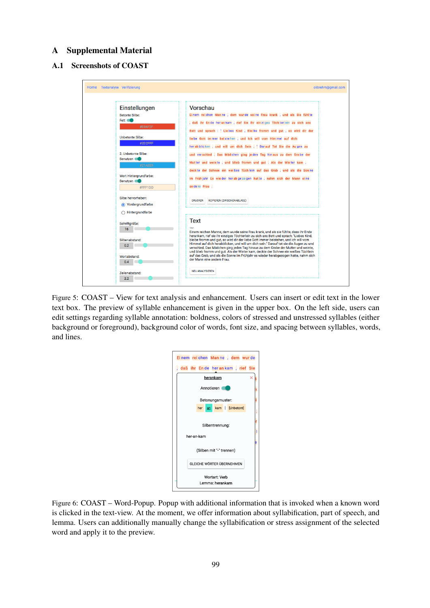## A Supplemental Material

## A.1 Screenshots of COAST

| Home Textanalyse Verifizierung                       | olibrehm@gmail.com                                                                                                                                                                                                                                                                                                                                                                                                                           |
|------------------------------------------------------|----------------------------------------------------------------------------------------------------------------------------------------------------------------------------------------------------------------------------------------------------------------------------------------------------------------------------------------------------------------------------------------------------------------------------------------------|
| Einstellungen<br><b>Betonte Silbe:</b>               | Vorschau<br>Einem reichen Manne, dem wurde seine Frau krank, und als Sie fühlte                                                                                                                                                                                                                                                                                                                                                              |
| Fett <b>C</b><br>#E84F2F                             | , daß ihr Ende herankam, rief Sie ihr einziges Töchterlein zu sich ans<br>Bett und sprach : ' Liebes Kind , Bleibe fromm und gut , so wird dir der                                                                                                                                                                                                                                                                                           |
| <b>Unbetonte Silbe:</b><br>#2D2FFF                   | liebe Gott immer beistehen, und Ich will vom Himmel auf dich                                                                                                                                                                                                                                                                                                                                                                                 |
| 2. Unbetonte Silbe:<br><b>Benutzen</b><br>#21AEE9    | her ab blicken, und will um dich Sein. " Dar auf Tat Sie die Augen zu<br>und verschied. Das Mädchen ging jeden Tag hinaus zu dem Grabe der<br>Mutter und weinte, und blieb fromm und gut. Als der Winter kam,                                                                                                                                                                                                                                |
| Wort Hintergrundfarbe:<br><b>Benutzen</b><br>#FFF1DD | deckte der Schnee ein weißes Tüchlein auf das Grab, und als die Sonne<br>im Frühjahr Es wieder herabgezogen hatte, nahm sich der Mann eine<br>an de re Frau.                                                                                                                                                                                                                                                                                 |
| Silbe hervorheben:<br><b>◎</b> Vordergrundfarbe      | <b>KOPIEREN (ZWISCHENABLAGE)</b><br><b>DRUCKEN</b>                                                                                                                                                                                                                                                                                                                                                                                           |
| ◯ Hintergrundfarbe                                   |                                                                                                                                                                                                                                                                                                                                                                                                                                              |
| Schriftgröße:<br>16                                  | <b>Text</b><br>Einem reichen Manne, dem wurde seine Frau krank, und als sie fühlte, dass ihr Ende<br>herankam, rief sie ihr einziges Töchterlein zu sich ans Bett und sprach: "Liebes Kind,                                                                                                                                                                                                                                                  |
| Silbenabstand:<br>0.2                                | bleibe fromm und qut, so wird dir der liebe Gott immer beistehen, und ich will vom<br>Himmel auf dich herabblicken, und will um dich sein." Darauf tat sie die Augen zu und<br>verschied. Das Mädchen ging jeden Tag hinaus zu dem Grabe der Mutter und weinte,<br>und blieb fromm und gut. Als der Winter kam, deckte der Schnee ein weißes Tüchlein<br>auf das Grab, und als die Sonne im Frühjahr es wieder herabgezogen hatte, nahm sich |
| Wortabstand:<br>0.4                                  | der Mann eine andere Frau.                                                                                                                                                                                                                                                                                                                                                                                                                   |
| Zeilenabstand:<br>2.2                                | <b>NEU ANALYSIEREN</b>                                                                                                                                                                                                                                                                                                                                                                                                                       |

Figure 5: COAST – View for text analysis and enhancement. Users can insert or edit text in the lower text box. The preview of syllable enhancement is given in the upper box. On the left side, users can edit settings regarding syllable annotation: boldness, colors of stressed and unstressed syllables (either background or foreground), background color of words, font size, and spacing between syllables, words, and lines.

| Einem reichen Manne, dem wurde   |           |  |  |                                  |  |
|----------------------------------|-----------|--|--|----------------------------------|--|
|                                  |           |  |  | daß ihr Ende her ankam, rief Sie |  |
| herankam                         |           |  |  |                                  |  |
| Annotieren                       |           |  |  |                                  |  |
| Betonungsmuster:                 |           |  |  |                                  |  |
|                                  | her<br>an |  |  | kam   [Unbetont]                 |  |
| Silbentrennung:                  |           |  |  |                                  |  |
| her-an-kam                       |           |  |  |                                  |  |
| (Silben mit "-" trennen)         |           |  |  |                                  |  |
| GI FICHE WÖRTER ÜBERNEHMEN       |           |  |  |                                  |  |
| Wortart: Verb<br>Lemma: herankam |           |  |  |                                  |  |

Figure 6: COAST – Word-Popup. Popup with additional information that is invoked when a known word is clicked in the text-view. At the moment, we offer information about syllabification, part of speech, and lemma. Users can additionally manually change the syllabification or stress assignment of the selected word and apply it to the preview.